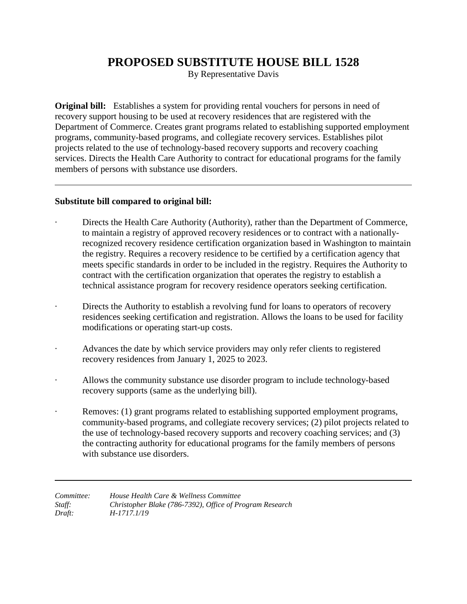## **PROPOSED SUBSTITUTE HOUSE BILL 1528**

By Representative Davis

**Original bill:** Establishes a system for providing rental vouchers for persons in need of recovery support housing to be used at recovery residences that are registered with the Department of Commerce. Creates grant programs related to establishing supported employment programs, community-based programs, and collegiate recovery services. Establishes pilot projects related to the use of technology-based recovery supports and recovery coaching services. Directs the Health Care Authority to contract for educational programs for the family members of persons with substance use disorders.

## **Substitute bill compared to original bill:**

- Directs the Health Care Authority (Authority), rather than the Department of Commerce, to maintain a registry of approved recovery residences or to contract with a nationallyrecognized recovery residence certification organization based in Washington to maintain the registry. Requires a recovery residence to be certified by a certification agency that meets specific standards in order to be included in the registry. Requires the Authority to contract with the certification organization that operates the registry to establish a technical assistance program for recovery residence operators seeking certification.
- Directs the Authority to establish a revolving fund for loans to operators of recovery residences seeking certification and registration. Allows the loans to be used for facility modifications or operating start-up costs.
- Advances the date by which service providers may only refer clients to registered recovery residences from January 1, 2025 to 2023.
- Allows the community substance use disorder program to include technology-based recovery supports (same as the underlying bill).
- Removes: (1) grant programs related to establishing supported employment programs, community-based programs, and collegiate recovery services; (2) pilot projects related to the use of technology-based recovery supports and recovery coaching services; and (3) the contracting authority for educational programs for the family members of persons with substance use disorders.

| Committee: | House Health Care & Wellness Committee                   |
|------------|----------------------------------------------------------|
| Staff:     | Christopher Blake (786-7392), Office of Program Research |
| Draft:     | H-1717.1/19                                              |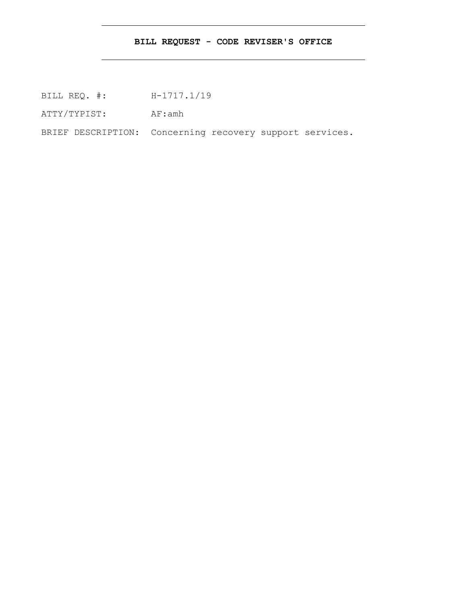## **BILL REQUEST - CODE REVISER'S OFFICE**

BILL REQ. #: H-1717.1/19

ATTY/TYPIST: AF:amh

BRIEF DESCRIPTION: Concerning recovery support services.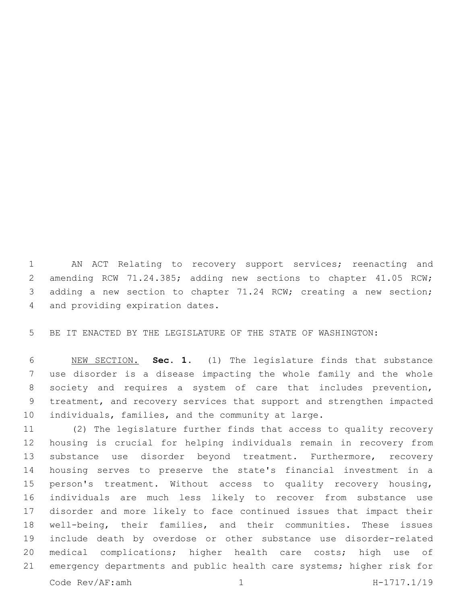AN ACT Relating to recovery support services; reenacting and amending RCW 71.24.385; adding new sections to chapter 41.05 RCW; adding a new section to chapter 71.24 RCW; creating a new section; 4 and providing expiration dates.

BE IT ENACTED BY THE LEGISLATURE OF THE STATE OF WASHINGTON:

 NEW SECTION. **Sec. 1.** (1) The legislature finds that substance use disorder is a disease impacting the whole family and the whole society and requires a system of care that includes prevention, treatment, and recovery services that support and strengthen impacted individuals, families, and the community at large.

 (2) The legislature further finds that access to quality recovery housing is crucial for helping individuals remain in recovery from substance use disorder beyond treatment. Furthermore, recovery housing serves to preserve the state's financial investment in a person's treatment. Without access to quality recovery housing, individuals are much less likely to recover from substance use disorder and more likely to face continued issues that impact their well-being, their families, and their communities. These issues include death by overdose or other substance use disorder-related medical complications; higher health care costs; high use of emergency departments and public health care systems; higher risk for Code Rev/AF:amh 1 H-1717.1/19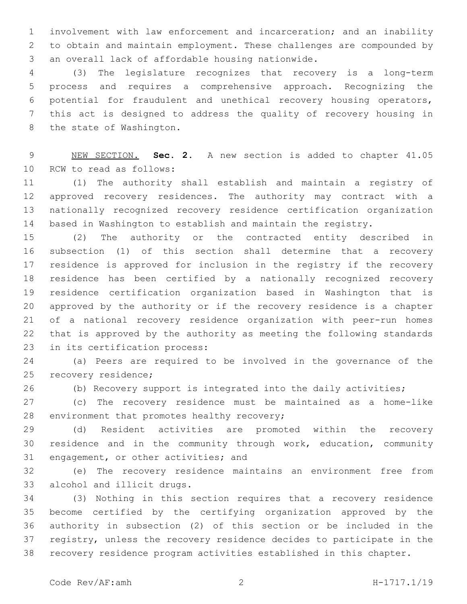involvement with law enforcement and incarceration; and an inability to obtain and maintain employment. These challenges are compounded by 3 an overall lack of affordable housing nationwide.

 (3) The legislature recognizes that recovery is a long-term process and requires a comprehensive approach. Recognizing the potential for fraudulent and unethical recovery housing operators, this act is designed to address the quality of recovery housing in 8 the state of Washington.

 NEW SECTION. **Sec. 2.** A new section is added to chapter 41.05 10 RCW to read as follows:

 (1) The authority shall establish and maintain a registry of approved recovery residences. The authority may contract with a nationally recognized recovery residence certification organization based in Washington to establish and maintain the registry.

 (2) The authority or the contracted entity described in subsection (1) of this section shall determine that a recovery residence is approved for inclusion in the registry if the recovery residence has been certified by a nationally recognized recovery residence certification organization based in Washington that is approved by the authority or if the recovery residence is a chapter of a national recovery residence organization with peer-run homes that is approved by the authority as meeting the following standards 23 in its certification process:

 (a) Peers are required to be involved in the governance of the 25 recovery residence;

(b) Recovery support is integrated into the daily activities;

 (c) The recovery residence must be maintained as a home-like 28 environment that promotes healthy recovery;

 (d) Resident activities are promoted within the recovery residence and in the community through work, education, community 31 engagement, or other activities; and

 (e) The recovery residence maintains an environment free from 33 alcohol and illicit drugs.

 (3) Nothing in this section requires that a recovery residence become certified by the certifying organization approved by the authority in subsection (2) of this section or be included in the registry, unless the recovery residence decides to participate in the recovery residence program activities established in this chapter.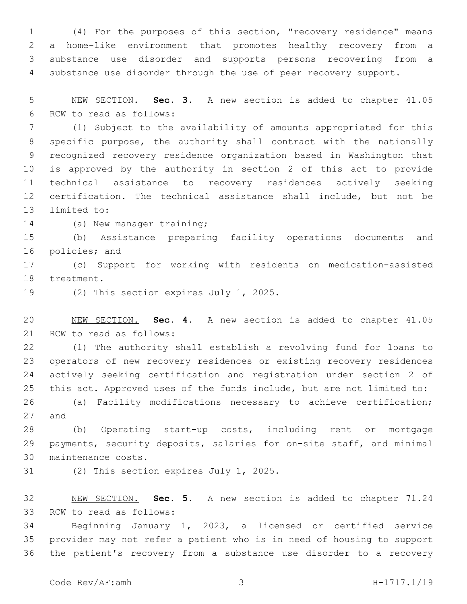(4) For the purposes of this section, "recovery residence" means a home-like environment that promotes healthy recovery from a substance use disorder and supports persons recovering from a substance use disorder through the use of peer recovery support.

 NEW SECTION. **Sec. 3.** A new section is added to chapter 41.05 6 RCW to read as follows:

 (1) Subject to the availability of amounts appropriated for this specific purpose, the authority shall contract with the nationally recognized recovery residence organization based in Washington that is approved by the authority in section 2 of this act to provide technical assistance to recovery residences actively seeking certification. The technical assistance shall include, but not be 13 limited to:

14 (a) New manager training;

 (b) Assistance preparing facility operations documents and 16 policies; and

 (c) Support for working with residents on medication-assisted 18 treatment.

19 (2) This section expires July 1, 2025.

 NEW SECTION. **Sec. 4.** A new section is added to chapter 41.05 21 RCW to read as follows:

 (1) The authority shall establish a revolving fund for loans to operators of new recovery residences or existing recovery residences actively seeking certification and registration under section 2 of this act. Approved uses of the funds include, but are not limited to:

 (a) Facility modifications necessary to achieve certification; 27 and

 (b) Operating start-up costs, including rent or mortgage payments, security deposits, salaries for on-site staff, and minimal 30 maintenance costs.

31 (2) This section expires July 1, 2025.

 NEW SECTION. **Sec. 5.** A new section is added to chapter 71.24 33 RCW to read as follows:

 Beginning January 1, 2023, a licensed or certified service provider may not refer a patient who is in need of housing to support the patient's recovery from a substance use disorder to a recovery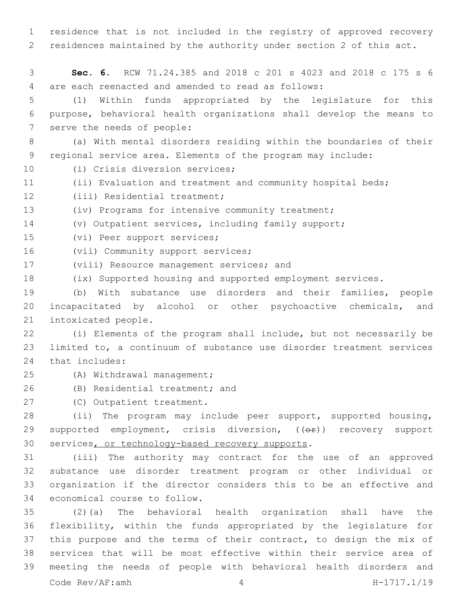1 residence that is not included in the registry of approved recovery 2 residences maintained by the authority under section 2 of this act.

3 **Sec. 6.** RCW 71.24.385 and 2018 c 201 s 4023 and 2018 c 175 s 6 are each reenacted and amended to read as follows:4

5 (1) Within funds appropriated by the legislature for this 6 purpose, behavioral health organizations shall develop the means to 7 serve the needs of people:

8 (a) With mental disorders residing within the boundaries of their 9 regional service area. Elements of the program may include:

10 (i) Crisis diversion services;

11 (ii) Evaluation and treatment and community hospital beds;

12 (iii) Residential treatment;

13 (iv) Programs for intensive community treatment;

14 (v) Outpatient services, including family support;

15 (vi) Peer support services;

16 (vii) Community support services;

17 (viii) Resource management services; and

18 (ix) Supported housing and supported employment services.

19 (b) With substance use disorders and their families, people 20 incapacitated by alcohol or other psychoactive chemicals, and 21 intoxicated people.

22 (i) Elements of the program shall include, but not necessarily be 23 limited to, a continuum of substance use disorder treatment services 24 that includes:

- (A) Withdrawal management;25
- 26 (B) Residential treatment; and
- 27 (C) Outpatient treatment.

28 (ii) The program may include peer support, supported housing, 29 supported employment, crisis diversion, ((OP)) recovery support 30 services, or technology-based recovery supports.

 (iii) The authority may contract for the use of an approved substance use disorder treatment program or other individual or organization if the director considers this to be an effective and 34 economical course to follow.

 (2)(a) The behavioral health organization shall have the flexibility, within the funds appropriated by the legislature for 37 this purpose and the terms of their contract, to design the mix of services that will be most effective within their service area of meeting the needs of people with behavioral health disorders and Code Rev/AF:amh 4 H-1717.1/19